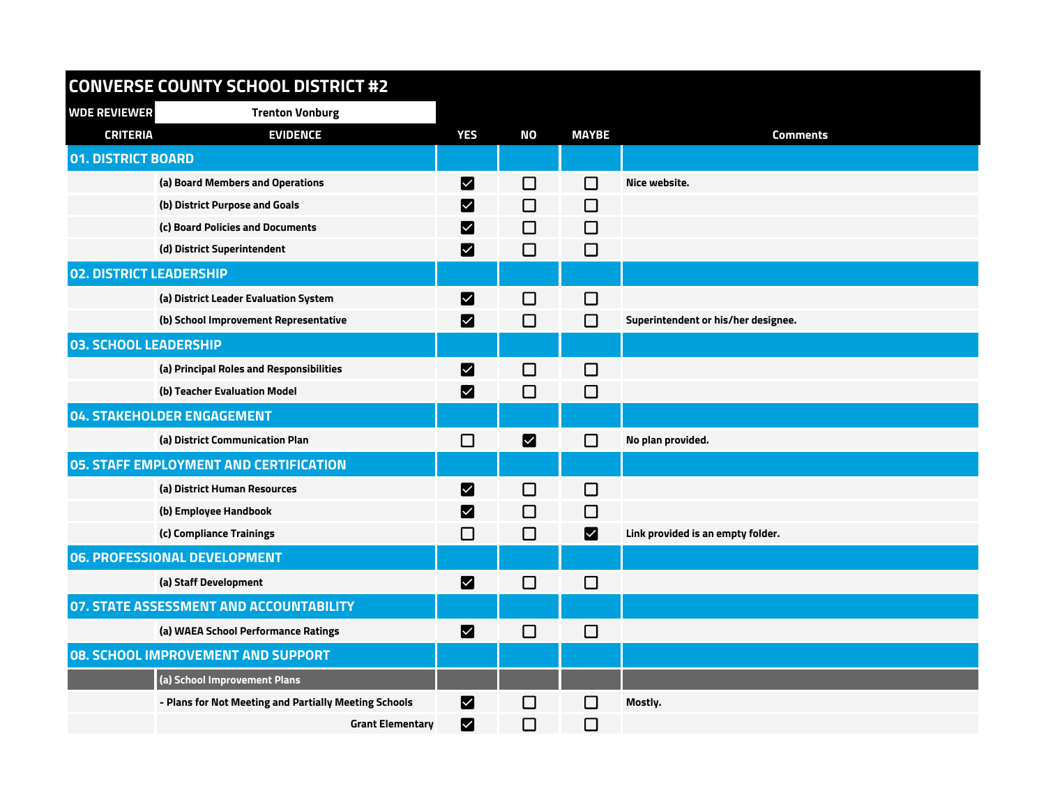## **CONVERSE COUNTY SCHOOL DISTRICT #2**

| <b>WDE REVIEWER</b>                       | <b>Trenton Vonburg</b>                                |                        |           |                             |                                     |
|-------------------------------------------|-------------------------------------------------------|------------------------|-----------|-----------------------------|-------------------------------------|
| <b>CRITERIA</b>                           | <b>EVIDENCE</b>                                       | <b>YES</b>             | <b>NO</b> | <b>MAYBE</b>                | <b>Comments</b>                     |
| <b>01. DISTRICT BOARD</b>                 |                                                       |                        |           |                             |                                     |
|                                           | (a) Board Members and Operations                      | M                      | $\Box$    | П                           | Nice website.                       |
|                                           | (b) District Purpose and Goals                        | M                      | $\Box$    | $\Box$                      |                                     |
|                                           | (c) Board Policies and Documents                      | $\vert\mathbf{v}\vert$ | □         | $\Box$                      |                                     |
|                                           | (d) District Superintendent                           | M                      | $\Box$    | $\Box$                      |                                     |
| <b>02. DISTRICT LEADERSHIP</b>            |                                                       |                        |           |                             |                                     |
|                                           | (a) District Leader Evaluation System                 | M                      | $\Box$    | $\mathcal{L}_{\mathcal{A}}$ |                                     |
|                                           | (b) School Improvement Representative                 | $\vert\mathbf{v}\vert$ | $\Box$    | П                           | Superintendent or his/her designee. |
| <b>03. SCHOOL LEADERSHIP</b>              |                                                       |                        |           |                             |                                     |
|                                           | (a) Principal Roles and Responsibilities              | M                      | $\Box$    | $\Box$                      |                                     |
|                                           | (b) Teacher Evaluation Model                          | M                      | $\Box$    | $\Box$                      |                                     |
|                                           | <b>04. STAKEHOLDER ENGAGEMENT</b>                     |                        |           |                             |                                     |
|                                           | (a) District Communication Plan                       | $\Box$                 | M         | $\mathsf{L}$                | No plan provided.                   |
|                                           | <b>05. STAFF EMPLOYMENT AND CERTIFICATION</b>         |                        |           |                             |                                     |
|                                           | (a) District Human Resources                          | M                      | $\Box$    | □                           |                                     |
|                                           | (b) Employee Handbook                                 | M                      | □         | $\Box$                      |                                     |
|                                           | (c) Compliance Trainings                              | $\Box$                 | $\Box$    | Ø                           | Link provided is an empty folder.   |
|                                           | 06. PROFESSIONAL DEVELOPMENT                          |                        |           |                             |                                     |
|                                           | (a) Staff Development                                 | M                      | $\Box$    | $\Box$                      |                                     |
|                                           | <b>07. STATE ASSESSMENT AND ACCOUNTABILITY</b>        |                        |           |                             |                                     |
|                                           | (a) WAEA School Performance Ratings                   | M                      | $\Box$    | $\Box$                      |                                     |
| <b>08. SCHOOL IMPROVEMENT AND SUPPORT</b> |                                                       |                        |           |                             |                                     |
|                                           | (a) School Improvement Plans                          |                        |           |                             |                                     |
|                                           | - Plans for Not Meeting and Partially Meeting Schools | M                      | $\Box$    | $\mathcal{L}$               | Mostly.                             |
|                                           | <b>Grant Elementary</b>                               | M                      | $\Box$    | $\Box$                      |                                     |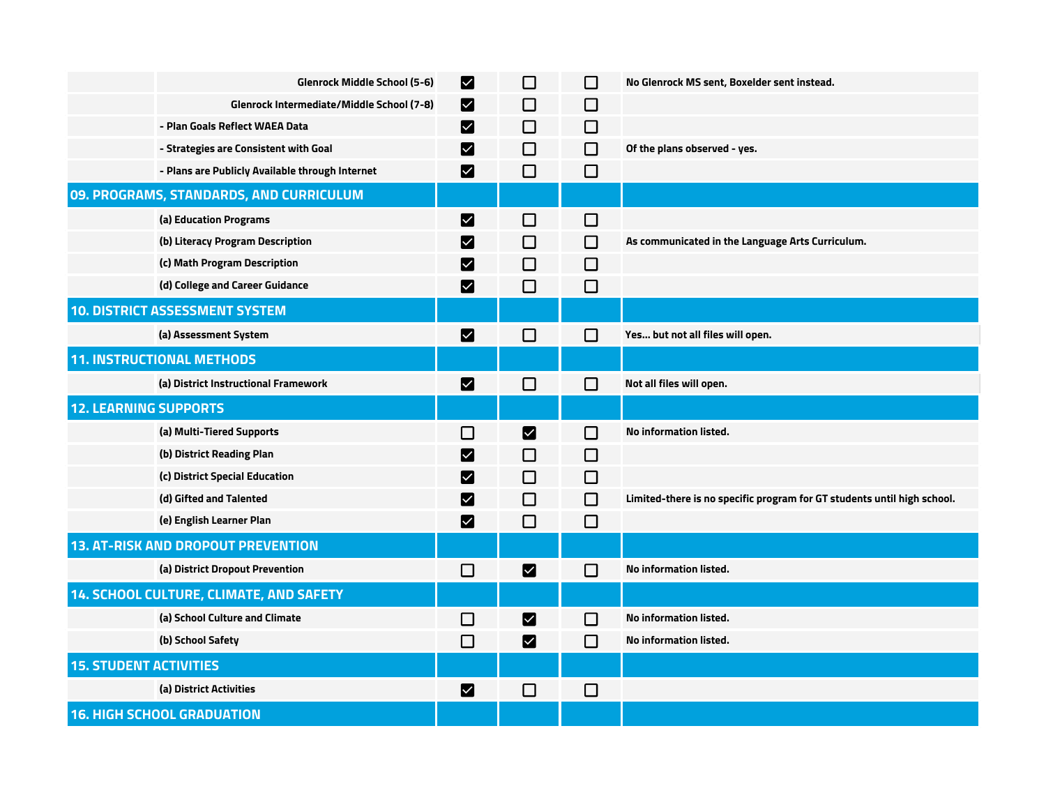|                               | <b>Glenrock Middle School (5-6)</b>             | $\vert\mathbf{v}\vert$ | □                     | $\Box$ | No Glenrock MS sent, Boxelder sent instead.                             |
|-------------------------------|-------------------------------------------------|------------------------|-----------------------|--------|-------------------------------------------------------------------------|
|                               | Glenrock Intermediate/Middle School (7-8)       | M                      | □                     | $\Box$ |                                                                         |
|                               | - Plan Goals Reflect WAEA Data                  | Z                      | LΙ                    | $\Box$ |                                                                         |
|                               | - Strategies are Consistent with Goal           | M                      | □                     | $\Box$ | Of the plans observed - yes.                                            |
|                               | - Plans are Publicly Available through Internet | $\bm{\triangledown}$   | □                     | $\Box$ |                                                                         |
|                               | 09. PROGRAMS, STANDARDS, AND CURRICULUM         |                        |                       |        |                                                                         |
|                               | (a) Education Programs                          | M                      | □                     | $\Box$ |                                                                         |
|                               | (b) Literacy Program Description                | M                      | П                     | $\Box$ | As communicated in the Language Arts Curriculum.                        |
|                               | (c) Math Program Description                    | M                      | ΙI                    | $\Box$ |                                                                         |
|                               | (d) College and Career Guidance                 | M                      | ⊓                     | $\Box$ |                                                                         |
|                               | <b>10. DISTRICT ASSESSMENT SYSTEM</b>           |                        |                       |        |                                                                         |
|                               | (a) Assessment System                           | M                      | □                     | $\sim$ | Yes but not all files will open.                                        |
|                               | <b>11. INSTRUCTIONAL METHODS</b>                |                        |                       |        |                                                                         |
|                               | (a) District Instructional Framework            | $\vert\mathbf{v}\vert$ | $\Box$                | П      | Not all files will open.                                                |
| <b>12. LEARNING SUPPORTS</b>  |                                                 |                        |                       |        |                                                                         |
|                               | (a) Multi-Tiered Supports                       | □                      | M                     | □      | No information listed.                                                  |
|                               | (b) District Reading Plan                       | M                      | П                     | $\Box$ |                                                                         |
|                               | (c) District Special Education                  | M                      | ΙI                    | $\Box$ |                                                                         |
|                               | (d) Gifted and Talented                         | M                      | ΙI                    | □      | Limited-there is no specific program for GT students until high school. |
|                               | (e) English Learner Plan                        | M                      | $\Box$                | $\Box$ |                                                                         |
|                               | <b>13. AT-RISK AND DROPOUT PREVENTION</b>       |                        |                       |        |                                                                         |
|                               | (a) District Dropout Prevention                 | $\Box$                 | M                     | П      | <b>No information listed.</b>                                           |
|                               | 14. SCHOOL CULTURE, CLIMATE, AND SAFETY         |                        |                       |        |                                                                         |
|                               | (a) School Culture and Climate                  | $\Box$                 | M                     | $\Box$ | No information listed.                                                  |
|                               | (b) School Safety                               | □                      | $\blacktriangleright$ | П      | No information listed.                                                  |
| <b>15. STUDENT ACTIVITIES</b> |                                                 |                        |                       |        |                                                                         |
|                               | (a) District Activities                         | $\blacktriangleright$  | $\Box$                | $\Box$ |                                                                         |
|                               |                                                 |                        |                       |        |                                                                         |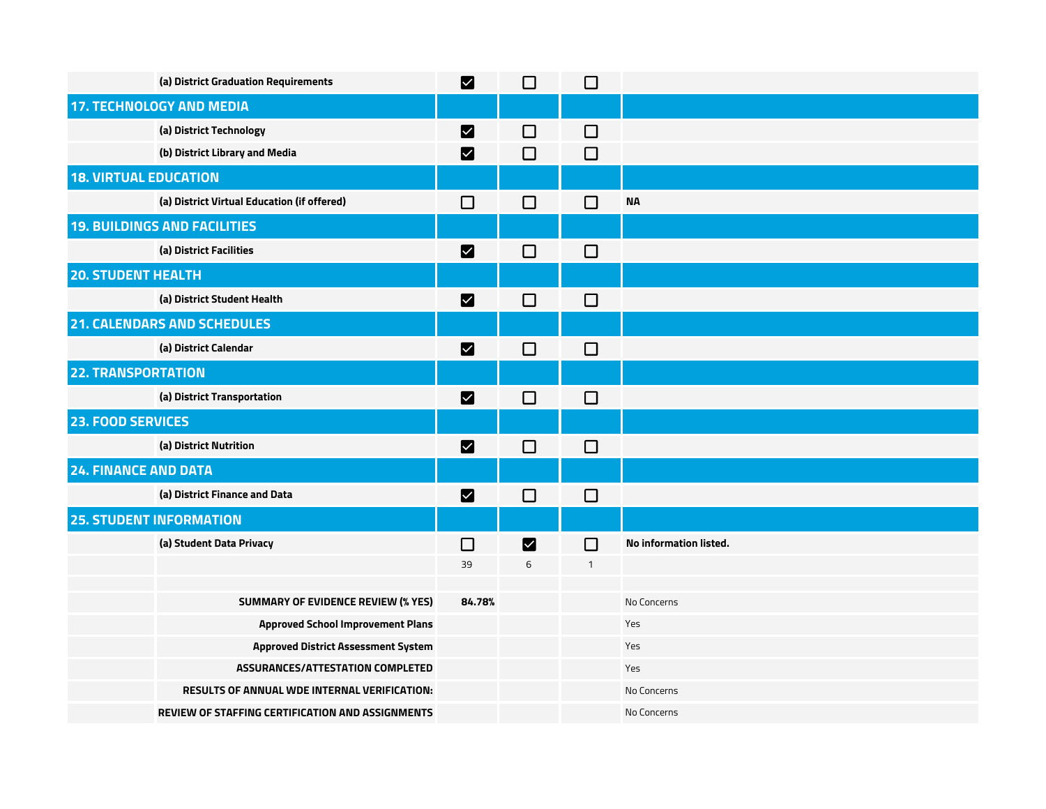|                              | (a) District Graduation Requirements                    | M                    | $\Box$ | $\Box$       |                        |
|------------------------------|---------------------------------------------------------|----------------------|--------|--------------|------------------------|
|                              | <b>17. TECHNOLOGY AND MEDIA</b>                         |                      |        |              |                        |
|                              | (a) District Technology                                 | M                    | $\Box$ | $\Box$       |                        |
|                              | (b) District Library and Media                          | M                    | $\Box$ | $\Box$       |                        |
| <b>18. VIRTUAL EDUCATION</b> |                                                         |                      |        |              |                        |
|                              | (a) District Virtual Education (if offered)             | $\Box$               | $\Box$ | $\Box$       | <b>NA</b>              |
|                              | <b>19. BUILDINGS AND FACILITIES</b>                     |                      |        |              |                        |
|                              | (a) District Facilities                                 | M                    | $\Box$ | $\Box$       |                        |
| <b>20. STUDENT HEALTH</b>    |                                                         |                      |        |              |                        |
|                              | (a) District Student Health                             | M                    | $\Box$ | $\Box$       |                        |
|                              | <b>21. CALENDARS AND SCHEDULES</b>                      |                      |        |              |                        |
|                              | (a) District Calendar                                   | $\blacktriangledown$ | $\Box$ | $\Box$       |                        |
| <b>22. TRANSPORTATION</b>    |                                                         |                      |        |              |                        |
|                              | (a) District Transportation                             | M                    | $\Box$ | $\Box$       |                        |
| 23. FOOD SERVICES            |                                                         |                      |        |              |                        |
|                              | (a) District Nutrition                                  | M                    | $\Box$ | $\Box$       |                        |
| <b>24. FINANCE AND DATA</b>  |                                                         |                      |        |              |                        |
|                              | (a) District Finance and Data                           | M                    | $\Box$ | $\Box$       |                        |
|                              | <b>25. STUDENT INFORMATION</b>                          |                      |        |              |                        |
|                              | (a) Student Data Privacy                                | $\Box$               | M      | $\Box$       | No information listed. |
|                              |                                                         | 39                   | 6      | $\mathbf{1}$ |                        |
|                              | <b>SUMMARY OF EVIDENCE REVIEW (% YES)</b>               | 84.78%               |        |              | No Concerns            |
|                              | <b>Approved School Improvement Plans</b>                |                      |        |              | Yes                    |
|                              | <b>Approved District Assessment System</b>              |                      |        |              | Yes                    |
|                              | <b>ASSURANCES/ATTESTATION COMPLETED</b>                 |                      |        |              | Yes                    |
|                              | <b>RESULTS OF ANNUAL WDE INTERNAL VERIFICATION:</b>     |                      |        |              | No Concerns            |
|                              | <b>REVIEW OF STAFFING CERTIFICATION AND ASSIGNMENTS</b> |                      |        |              | No Concerns            |